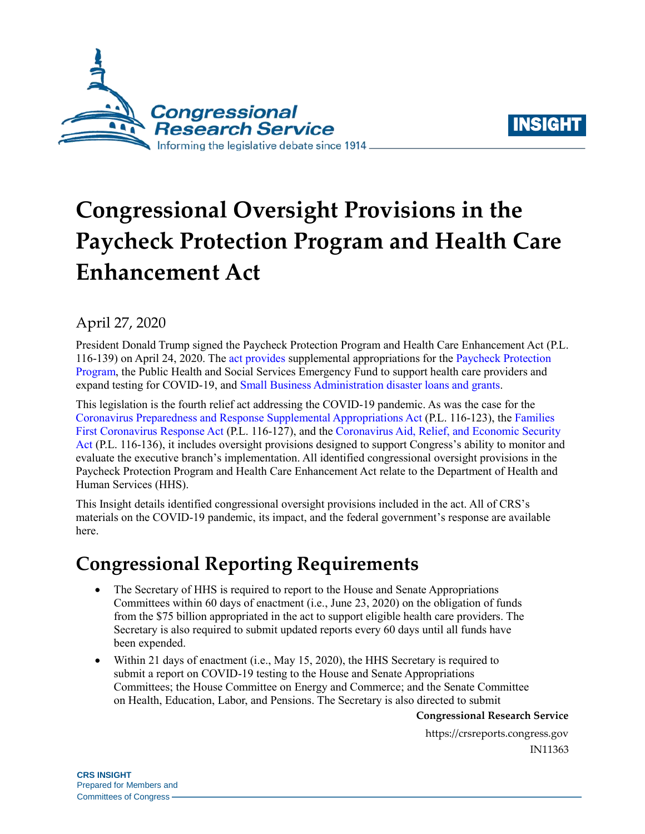



# **Congressional Oversight Provisions in the Paycheck Protection Program and Health Care Enhancement Act**

## April 27, 2020

President Donald Trump signed the Paycheck Protection Program and Health Care Enhancement Act [\(P.L.](http://www.congress.gov/cgi-lis/bdquery/R?d116:FLD002:@1(116+139))  [116-139\)](http://www.congress.gov/cgi-lis/bdquery/R?d116:FLD002:@1(116+139)) on April 24, 2020. The [act provides](https://www.rollcall.com/2020/04/21/white-house-congress-seal-deal-on-new-coronavirus-aid-bill/) supplemental appropriations for the [Paycheck Protection](https://crsreports.congress.gov/product/pdf/IN/IN11324)  [Program,](https://crsreports.congress.gov/product/pdf/IN/IN11324) the Public Health and Social Services Emergency Fund to support health care providers and expand testing for COVID-19, and [Small Business Administration disaster loans and grants.](https://crsreports.congress.gov/product/pdf/R/R46284)

This legislation is the fourth relief act addressing the COVID-19 pandemic. As was the case for the [Coronavirus Preparedness and Response Supplemental Appropriations Act](https://crsreports.congress.gov/product/pdf/IN/IN11236) [\(P.L. 116-123\)](http://www.congress.gov/cgi-lis/bdquery/R?d116:FLD002:@1(116+123)), th[e Families](https://crsreports.congress.gov/product/pdf/IN/IN11271)  [First Coronavirus Response Act](https://crsreports.congress.gov/product/pdf/IN/IN11271) [\(P.L. 116-127\)](http://www.congress.gov/cgi-lis/bdquery/R?d116:FLD002:@1(116+127)), and the [Coronavirus Aid, Relief, and Economic Security](https://crsreports.congress.gov/product/pdf/R/R46315)  [Act](https://crsreports.congress.gov/product/pdf/R/R46315) [\(P.L. 116-136\)](http://www.congress.gov/cgi-lis/bdquery/R?d116:FLD002:@1(116+136)), it includes oversight provisions designed to support Congress's ability to monitor and evaluate the executive branch's implementation. All identified congressional oversight provisions in the Paycheck Protection Program and Health Care Enhancement Act relate to the Department of Health and Human Services (HHS).

This Insight details identified congressional oversight provisions included in the act. All of CRS's materials on the COVID-19 pandemic, its impact, and the federal government's response are available here.

## **Congressional Reporting Requirements**

- The Secretary of HHS is required to report to the House and Senate Appropriations Committees within 60 days of enactment (i.e., June 23, 2020) on the obligation of funds from the \$75 billion appropriated in the act to support eligible health care providers. The Secretary is also required to submit updated reports every 60 days until all funds have been expended.
- Within 21 days of enactment (i.e., May 15, 2020), the HHS Secretary is required to submit a report on COVID-19 testing to the House and Senate Appropriations Committees; the House Committee on Energy and Commerce; and the Senate Committee on Health, Education, Labor, and Pensions. The Secretary is also directed to submit

**Congressional Research Service**

https://crsreports.congress.gov IN11363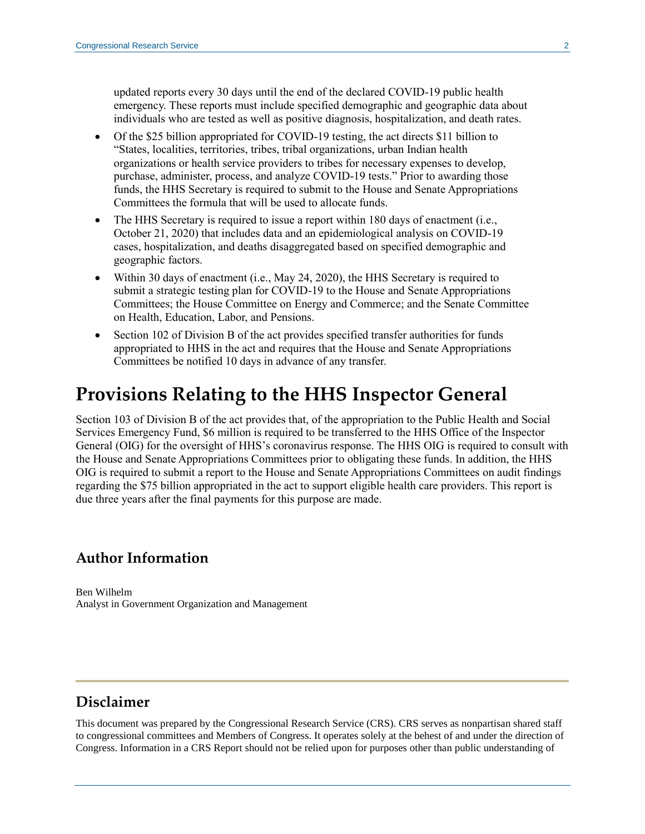updated reports every 30 days until the end of the declared COVID-19 public health emergency. These reports must include specified demographic and geographic data about individuals who are tested as well as positive diagnosis, hospitalization, and death rates.

- Of the \$25 billion appropriated for COVID-19 testing, the act directs \$11 billion to "States, localities, territories, tribes, tribal organizations, urban Indian health organizations or health service providers to tribes for necessary expenses to develop, purchase, administer, process, and analyze COVID-19 tests." Prior to awarding those funds, the HHS Secretary is required to submit to the House and Senate Appropriations Committees the formula that will be used to allocate funds.
- The HHS Secretary is required to issue a report within 180 days of enactment (i.e., October 21, 2020) that includes data and an epidemiological analysis on COVID-19 cases, hospitalization, and deaths disaggregated based on specified demographic and geographic factors.
- Within 30 days of enactment (i.e., May 24, 2020), the HHS Secretary is required to submit a strategic testing plan for COVID-19 to the House and Senate Appropriations Committees; the House Committee on Energy and Commerce; and the Senate Committee on Health, Education, Labor, and Pensions.
- Section 102 of Division B of the act provides specified transfer authorities for funds appropriated to HHS in the act and requires that the House and Senate Appropriations Committees be notified 10 days in advance of any transfer.

## **Provisions Relating to the HHS Inspector General**

Section 103 of Division B of the act provides that, of the appropriation to the Public Health and Social Services Emergency Fund, \$6 million is required to be transferred to the HHS Office of the Inspector General (OIG) for the oversight of HHS's coronavirus response. The HHS OIG is required to consult with the House and Senate Appropriations Committees prior to obligating these funds. In addition, the HHS OIG is required to submit a report to the House and Senate Appropriations Committees on audit findings regarding the \$75 billion appropriated in the act to support eligible health care providers. This report is due three years after the final payments for this purpose are made.

#### **Author Information**

Ben Wilhelm Analyst in Government Organization and Management

### **Disclaimer**

This document was prepared by the Congressional Research Service (CRS). CRS serves as nonpartisan shared staff to congressional committees and Members of Congress. It operates solely at the behest of and under the direction of Congress. Information in a CRS Report should not be relied upon for purposes other than public understanding of